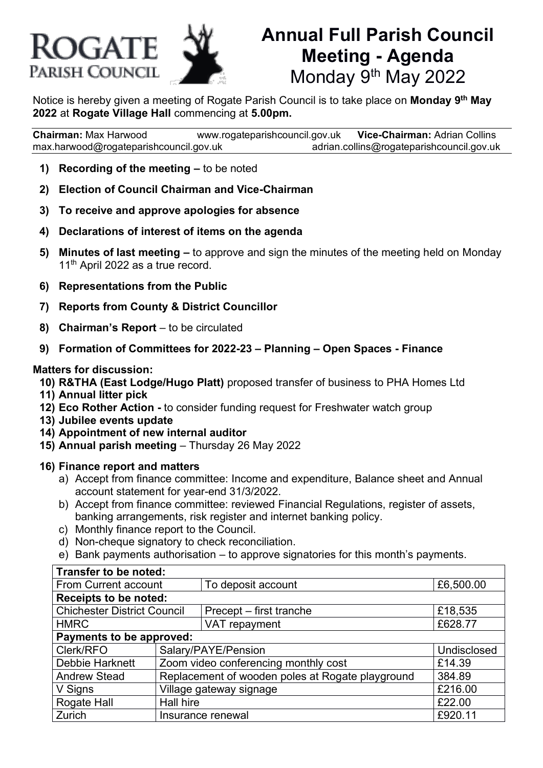

# **Annual Full Parish Council Meeting - Agenda** Monday 9<sup>th</sup> May 2022

Notice is hereby given a meeting of Rogate Parish Council is to take place on **Monday 9 th May 2022** at **Rogate Village Hall** commencing at **5.00pm.**

**Chairman:** Max Harwood [www.rogateparishcouncil.gov.uk](http://www.rogateparishcouncil.gov.uk/) **Vice-Chairman:** Adrian Collins [max.harwood@rogateparishcouncil.gov.uk](mailto:max.harwood@rogateparishcouncil.gov.uk) [adrian.collins@rogateparishcouncil.gov.uk](mailto:adrian.collins@rogateparishcouncil.gov.uk)

- **1) Recording of the meeting –** to be noted
- **2) Election of Council Chairman and Vice-Chairman**
- **3) To receive and approve apologies for absence**
- **4) Declarations of interest of items on the agenda**
- **5) Minutes of last meeting –** to approve and sign the minutes of the meeting held on Monday 11<sup>th</sup> April 2022 as a true record.
- **6) Representations from the Public**
- **7) Reports from County & District Councillor**
- **8) Chairman's Report** to be circulated
- **9) Formation of Committees for 2022-23 – Planning – Open Spaces - Finance**

#### **Matters for discussion:**

- **10) R&THA (East Lodge/Hugo Platt)** proposed transfer of business to PHA Homes Ltd
- **11) Annual litter pick**
- **12) Eco Rother Action -** to consider funding request for Freshwater watch group
- **13) Jubilee events update**
- **14) Appointment of new internal auditor**
- **15) Annual parish meeting** Thursday 26 May 2022

#### **16) Finance report and matters**

- a) Accept from finance committee: Income and expenditure, Balance sheet and Annual account statement for year-end 31/3/2022.
- b) Accept from finance committee: reviewed Financial Regulations, register of assets, banking arrangements, risk register and internet banking policy.
- c) Monthly finance report to the Council.
- d) Non-cheque signatory to check reconciliation.
- e) Bank payments authorisation to approve signatories for this month's payments.

| Transfer to be noted:              |                                                  |                         |             |
|------------------------------------|--------------------------------------------------|-------------------------|-------------|
| From Current account               |                                                  | To deposit account      | £6,500.00   |
| <b>Receipts to be noted:</b>       |                                                  |                         |             |
| <b>Chichester District Council</b> |                                                  | Precept - first tranche | £18,535     |
| <b>HMRC</b>                        |                                                  | VAT repayment           | £628.77     |
| Payments to be approved:           |                                                  |                         |             |
| Clerk/RFO                          | Salary/PAYE/Pension                              |                         | Undisclosed |
| Debbie Harknett                    | Zoom video conferencing monthly cost             |                         | £14.39      |
| <b>Andrew Stead</b>                | Replacement of wooden poles at Rogate playground |                         | 384.89      |
| V Signs                            | Village gateway signage                          |                         | £216.00     |
| Rogate Hall                        | Hall hire                                        | £22.00                  |             |
| Zurich                             | Insurance renewal                                |                         | £920.11     |